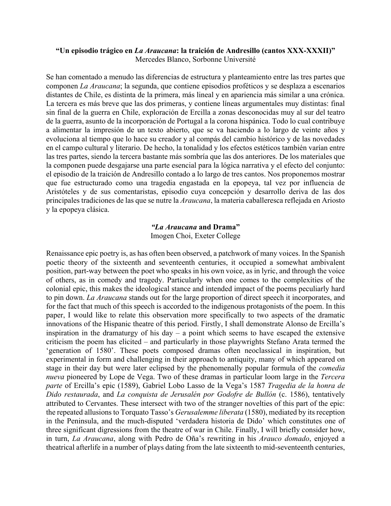#### **"Un episodio trágico en** *La Araucana***: la traición de Andresillo (cantos XXX-XXXII)"** Mercedes Blanco, Sorbonne Université

Se han comentado a menudo las diferencias de estructura y planteamiento entre las tres partes que componen *La Araucana*; la segunda, que contiene episodios proféticos y se desplaza a escenarios distantes de Chile, es distinta de la primera, más lineal y en apariencia más similar a una crónica. La tercera es más breve que las dos primeras, y contiene líneas argumentales muy distintas: final sin final de la guerra en Chile, exploración de Ercilla a zonas desconocidas muy al sur del teatro de la guerra, asunto de la incorporación de Portugal a la corona hispánica. Todo lo cual contribuye a alimentar la impresión de un texto abierto, que se va haciendo a lo largo de veinte años y evoluciona al tiempo que lo hace su creador y al compás del cambio histórico y de las novedades en el campo cultural y literario. De hecho, la tonalidad y los efectos estéticos también varían entre las tres partes, siendo la tercera bastante más sombría que las dos anteriores. De los materiales que la componen puede desgajarse una parte esencial para la lógica narrativa y el efecto del conjunto: el episodio de la traición de Andresillo contado a lo largo de tres cantos. Nos proponemos mostrar que fue estructurado como una tragedia engastada en la epopeya, tal vez por influencia de Aristóteles y de sus comentaristas, episodio cuya concepción y desarrollo deriva de las dos principales tradiciones de las que se nutre la *Araucana*, la materia caballeresca reflejada en Ariosto y la epopeya clásica.

# *"La Araucana* **and Drama"**

Imogen Choi, Exeter College

Renaissance epic poetry is, as has often been observed, a patchwork of many voices. In the Spanish poetic theory of the sixteenth and seventeenth centuries, it occupied a somewhat ambivalent position, part-way between the poet who speaks in his own voice, as in lyric, and through the voice of others, as in comedy and tragedy. Particularly when one comes to the complexities of the colonial epic, this makes the ideological stance and intended impact of the poems peculiarly hard to pin down. *La Araucana* stands out for the large proportion of direct speech it incorporates, and for the fact that much of this speech is accorded to the indigenous protagonists of the poem. In this paper, I would like to relate this observation more specifically to two aspects of the dramatic innovations of the Hispanic theatre of this period. Firstly, I shall demonstrate Alonso de Ercilla's inspiration in the dramaturgy of his day  $-$  a point which seems to have escaped the extensive criticism the poem has elicited – and particularly in those playwrights Stefano Arata termed the 'generation of 1580'. These poets composed dramas often neoclassical in inspiration, but experimental in form and challenging in their approach to antiquity, many of which appeared on stage in their day but were later eclipsed by the phenomenally popular formula of the *comedia nueva* pioneered by Lope de Vega. Two of these dramas in particular loom large in the *Tercera parte* of Ercilla's epic (1589), Gabriel Lobo Lasso de la Vega's 1587 *Tragedia de la honra de Dido restaurada*, and *La conquista de Jerusalén por Godofre de Bullón* (c. 1586), tentatively attributed to Cervantes. These intersect with two of the stranger novelties of this part of the epic: the repeated allusions to Torquato Tasso's *Gerusalemme liberata* (1580), mediated by its reception in the Peninsula, and the much-disputed 'verdadera historia de Dido' which constitutes one of three significant digressions from the theatre of war in Chile. Finally, I will briefly consider how, in turn, *La Araucana*, along with Pedro de Oña's rewriting in his *Arauco domado*, enjoyed a theatrical afterlife in a number of plays dating from the late sixteenth to mid-seventeenth centuries,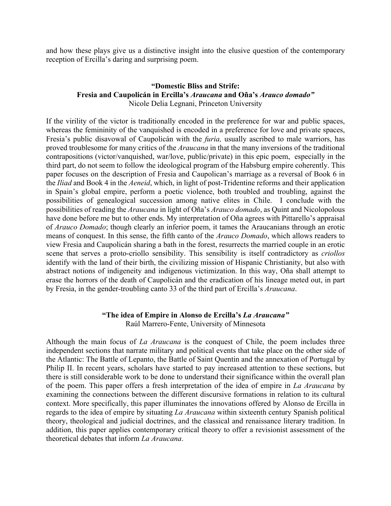and how these plays give us a distinctive insight into the elusive question of the contemporary reception of Ercilla's daring and surprising poem.

## **"Domestic Bliss and Strife: Fresia and Caupolicán in Ercilla's** *Araucana* **and Oña's** *Arauco domado"* Nicole Delia Legnani, Princeton University

If the virility of the victor is traditionally encoded in the preference for war and public spaces, whereas the femininity of the vanquished is encoded in a preference for love and private spaces, Fresia's public disavowal of Caupolicán with the *furia,* usually ascribed to male warriors, has proved troublesome for many critics of the *Araucana* in that the many inversions of the traditional contrapositions (victor/vanquished, war/love, public/private) in this epic poem, especially in the third part, do not seem to follow the ideological program of the Habsburg empire coherently. This paper focuses on the description of Fresia and Caupolican's marriage as a reversal of Book 6 in the *Iliad* and Book 4 in the *Aeneid*, which, in light of post-Tridentine reforms and their application in Spain's global empire, perform a poetic violence, both troubled and troubling, against the possibilities of genealogical succession among native elites in Chile. I conclude with the possibilities of reading the *Araucana* in light of Oña's *Arauco domado*, as Quint and Nicolopolous have done before me but to other ends. My interpretation of Oña agrees with Pittarello's appraisal of *Arauco Domado*; though clearly an inferior poem, it tames the Araucanians through an erotic means of conquest. In this sense, the fifth canto of the *Arauco Domado*, which allows readers to view Fresia and Caupolicán sharing a bath in the forest, resurrects the married couple in an erotic scene that serves a proto-criollo sensibility. This sensibility is itself contradictory as *criollos*  identify with the land of their birth, the civilizing mission of Hispanic Christianity, but also with abstract notions of indigeneity and indigenous victimization. In this way, Oña shall attempt to erase the horrors of the death of Caupolicán and the eradication of his lineage meted out, in part by Fresia, in the gender-troubling canto 33 of the third part of Ercilla's *Araucana*.

#### **"The idea of Empire in Alonso de Ercilla's** *La Araucana"* Raúl Marrero-Fente, University of Minnesota

Although the main focus of *La Araucana* is the conquest of Chile, the poem includes three independent sections that narrate military and political events that take place on the other side of the Atlantic: The Battle of Lepanto, the Battle of Saint Quentin and the annexation of Portugal by Philip II. In recent years, scholars have started to pay increased attention to these sections, but there is still considerable work to be done to understand their significance within the overall plan of the poem. This paper offers a fresh interpretation of the idea of empire in *La Araucana* by examining the connections between the different discursive formations in relation to its cultural context. More specifically, this paper illuminates the innovations offered by Alonso de Ercilla in regards to the idea of empire by situating *La Araucana* within sixteenth century Spanish political theory, theological and judicial doctrines, and the classical and renaissance literary tradition. In addition, this paper applies contemporary critical theory to offer a revisionist assessment of the theoretical debates that inform *La Araucana*.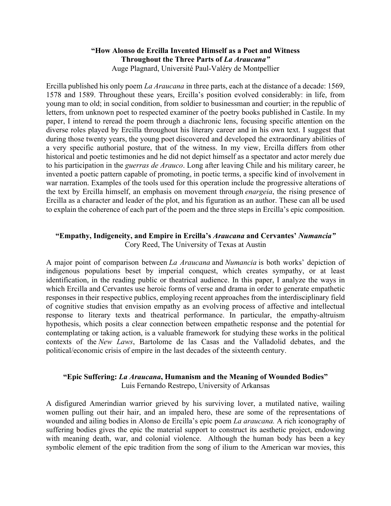## **"How Alonso de Ercilla Invented Himself as a Poet and Witness Throughout the Three Parts of** *La Araucana"* Auge Plagnard, Université Paul-Valéry de Montpellier

Ercilla published his only poem *La Araucana* in three parts, each at the distance of a decade: 1569, 1578 and 1589. Throughout these years, Ercilla's position evolved considerably: in life, from young man to old; in social condition, from soldier to businessman and courtier; in the republic of letters, from unknown poet to respected examiner of the poetry books published in Castile. In my paper, I intend to reread the poem through a diachronic lens, focusing specific attention on the diverse roles played by Ercilla throughout his literary career and in his own text. I suggest that during those twenty years, the young poet discovered and developed the extraordinary abilities of a very specific authorial posture, that of the witness. In my view, Ercilla differs from other historical and poetic testimonies and he did not depict himself as a spectator and actor merely due to his participation in the *guerras de Arauco*. Long after leaving Chile and his military career, he invented a poetic pattern capable of promoting, in poetic terms, a specific kind of involvement in war narration. Examples of the tools used for this operation include the progressive alterations of the text by Ercilla himself, an emphasis on movement through *enargeia*, the rising presence of Ercilla as a character and leader of the plot, and his figuration as an author. These can all be used to explain the coherence of each part of the poem and the three steps in Ercilla's epic composition.

# **"Empathy, Indigeneity, and Empire in Ercilla's** *Araucana* **and Cervantes'** *Numancia"* Cory Reed, The University of Texas at Austin

A major point of comparison between *La Araucana* and *Numancia* is both works' depiction of indigenous populations beset by imperial conquest, which creates sympathy, or at least identification, in the reading public or theatrical audience. In this paper, I analyze the ways in which Ercilla and Cervantes use heroic forms of verse and drama in order to generate empathetic responses in their respective publics, employing recent approaches from the interdisciplinary field of cognitive studies that envision empathy as an evolving process of affective and intellectual response to literary texts and theatrical performance. In particular, the empathy-altruism hypothesis, which posits a clear connection between empathetic response and the potential for contemplating or taking action, is a valuable framework for studying these works in the political contexts of the *New Laws*, Bartolome de las Casas and the Valladolid debates, and the political/economic crisis of empire in the last decades of the sixteenth century.

## **"Epic Suffering:** *La Araucana***, Humanism and the Meaning of Wounded Bodies"** Luis Fernando Restrepo, University of Arkansas

A disfigured Amerindian warrior grieved by his surviving lover, a mutilated native, wailing women pulling out their hair, and an impaled hero, these are some of the representations of wounded and ailing bodies in Alonso de Ercilla's epic poem *La araucana.* A rich iconography of suffering bodies gives the epic the material support to construct its aesthetic project, endowing with meaning death, war, and colonial violence. Although the human body has been a key symbolic element of the epic tradition from the song of ilium to the American war movies, this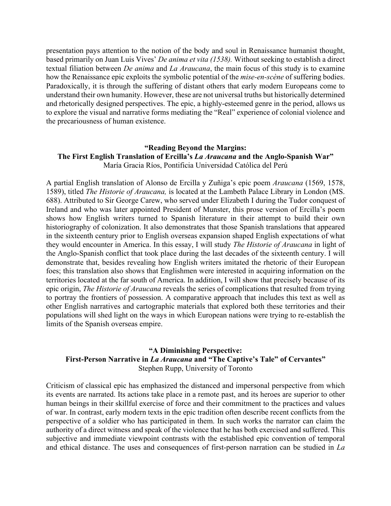presentation pays attention to the notion of the body and soul in Renaissance humanist thought, based primarily on Juan Luis Vives' *De anima et vita (1538).* Without seeking to establish a direct textual filiation between *De anima* and *La Araucana*, the main focus of this study is to examine how the Renaissance epic exploits the symbolic potential of the *mise-en-scène* of suffering bodies. Paradoxically, it is through the suffering of distant others that early modern Europeans come to understand their own humanity. However, these are not universal truths but historically determined and rhetorically designed perspectives. The epic, a highly-esteemed genre in the period, allows us to explore the visual and narrative forms mediating the "Real" experience of colonial violence and the precariousness of human existence.

## **"Reading Beyond the Margins: The First English Translation of Ercilla's** *La Araucana* **and the Anglo-Spanish War"** María Gracia Ríos, Pontificia Universidad Católica del Perú

A partial English translation of Alonso de Ercilla y Zuñiga's epic poem *Araucana* (1569, 1578, 1589), titled *The Historie of Araucana,* is located at the Lambeth Palace Library in London (MS. 688). Attributed to Sir George Carew, who served under Elizabeth I during the Tudor conquest of Ireland and who was later appointed President of Munster, this prose version of Ercilla's poem shows how English writers turned to Spanish literature in their attempt to build their own historiography of colonization. It also demonstrates that those Spanish translations that appeared in the sixteenth century prior to English overseas expansion shaped English expectations of what they would encounter in America. In this essay, I will study *The Historie of Araucana* in light of the Anglo-Spanish conflict that took place during the last decades of the sixteenth century. I will demonstrate that, besides revealing how English writers imitated the rhetoric of their European foes; this translation also shows that Englishmen were interested in acquiring information on the territories located at the far south of America. In addition, I will show that precisely because of its epic origin, *The Historie of Araucana* reveals the series of complications that resulted from trying to portray the frontiers of possession. A comparative approach that includes this text as well as other English narratives and cartographic materials that explored both these territories and their populations will shed light on the ways in which European nations were trying to re-establish the limits of the Spanish overseas empire.

## **"A Diminishing Perspective: First-Person Narrative in** *La Araucana* **and "The Captive's Tale" of Cervantes"** Stephen Rupp, University of Toronto

Criticism of classical epic has emphasized the distanced and impersonal perspective from which its events are narrated. Its actions take place in a remote past, and its heroes are superior to other human beings in their skillful exercise of force and their commitment to the practices and values of war. In contrast, early modern texts in the epic tradition often describe recent conflicts from the perspective of a soldier who has participated in them. In such works the narrator can claim the authority of a direct witness and speak of the violence that he has both exercised and suffered. This subjective and immediate viewpoint contrasts with the established epic convention of temporal and ethical distance. The uses and consequences of first-person narration can be studied in *La*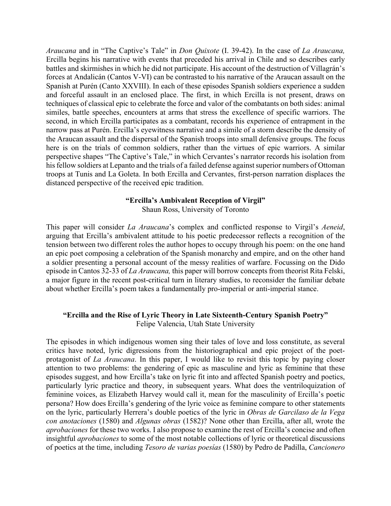*Araucana* and in "The Captive's Tale" in *Don Quixote* (I. 39-42). In the case of *La Araucana,*  Ercilla begins his narrative with events that preceded his arrival in Chile and so describes early battles and skirmishes in which he did not participate. His account of the destruction of Villagrán's forces at Andalicán (Cantos V-VI) can be contrasted to his narrative of the Araucan assault on the Spanish at Purén (Canto XXVIII). In each of these episodes Spanish soldiers experience a sudden and forceful assault in an enclosed place. The first, in which Ercilla is not present, draws on techniques of classical epic to celebrate the force and valor of the combatants on both sides: animal similes, battle speeches, encounters at arms that stress the excellence of specific warriors. The second, in which Ercilla participates as a combatant, records his experience of entrapment in the narrow pass at Purén. Ercilla's eyewitness narrative and a simile of a storm describe the density of the Araucan assault and the dispersal of the Spanish troops into small defensive groups. The focus here is on the trials of common soldiers, rather than the virtues of epic warriors. A similar perspective shapes "The Captive's Tale," in which Cervantes's narrator records his isolation from his fellow soldiers at Lepanto and the trials of a failed defense against superior numbers of Ottoman troops at Tunis and La Goleta. In both Ercilla and Cervantes, first-person narration displaces the distanced perspective of the received epic tradition.

#### **"Ercilla's Ambivalent Reception of Virgil"**

Shaun Ross, University of Toronto

This paper will consider *La Araucana*'s complex and conflicted response to Virgil's *Aeneid*, arguing that Ercilla's ambivalent attitude to his poetic predecessor reflects a recognition of the tension between two different roles the author hopes to occupy through his poem: on the one hand an epic poet composing a celebration of the Spanish monarchy and empire, and on the other hand a soldier presenting a personal account of the messy realities of warfare. Focussing on the Dido episode in Cantos 32-33 of *La Araucana,* this paper will borrow concepts from theorist Rita Felski, a major figure in the recent post-critical turn in literary studies, to reconsider the familiar debate about whether Ercilla's poem takes a fundamentally pro-imperial or anti-imperial stance.

#### **"Ercilla and the Rise of Lyric Theory in Late Sixteenth-Century Spanish Poetry"** Felipe Valencia, Utah State University

The episodes in which indigenous women sing their tales of love and loss constitute, as several critics have noted, lyric digressions from the historiographical and epic project of the poetprotagonist of *La Araucana*. In this paper, I would like to revisit this topic by paying closer attention to two problems: the gendering of epic as masculine and lyric as feminine that these episodes suggest, and how Ercilla's take on lyric fit into and affected Spanish poetry and poetics, particularly lyric practice and theory, in subsequent years. What does the ventriloquization of feminine voices, as Elizabeth Harvey would call it, mean for the masculinity of Ercilla's poetic persona? How does Ercilla's gendering of the lyric voice as feminine compare to other statements on the lyric, particularly Herrera's double poetics of the lyric in *Obras de Garcilaso de la Vega con anotaciones* (1580) and *Algunas obras* (1582)? None other than Ercilla, after all, wrote the *aprobaciones* for these two works. I also propose to examine the rest of Ercilla's concise and often insightful *aprobaciones* to some of the most notable collections of lyric or theoretical discussions of poetics at the time, including *Tesoro de varias poesías* (1580) by Pedro de Padilla, *Cancionero*